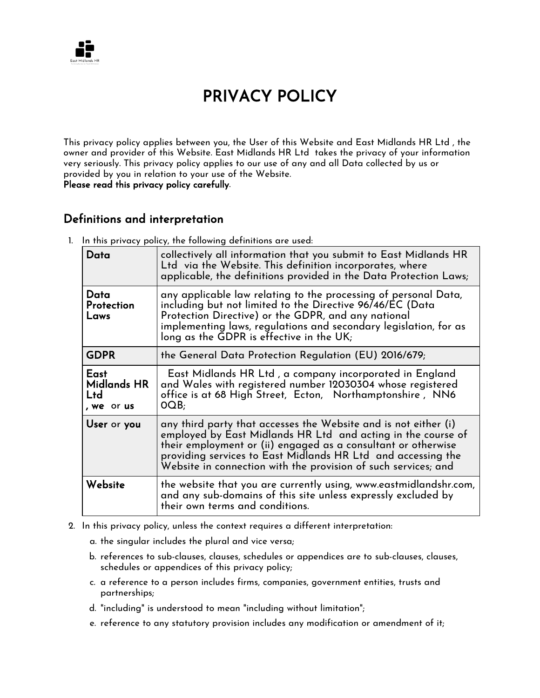

# PRIVACY POLICY

This privacy policy applies between you, the User of this Website and East Midlands HR Ltd , the owner and provider of this Website. East Midlands HR Ltd takes the privacy of your information very seriously. This privacy policy applies to our use of any and all Data collected by us or provided by you in relation to your use of the Website.

Please read this privacy policy carefully.

#### Definitions and interpretation

1. In this privacy policy, the following definitions are used:

| Data                                            | collectively all information that you submit to East Midlands HR<br>Ltd via the Website. This definition incorporates, where<br>applicable, the definitions provided in the Data Protection Laws;                                                                                                                                  |
|-------------------------------------------------|------------------------------------------------------------------------------------------------------------------------------------------------------------------------------------------------------------------------------------------------------------------------------------------------------------------------------------|
| Data<br>Protection<br>Laws                      | any applicable law relating to the processing of personal Data,<br>including but not limited to the Directive 96/46/EC (Data<br>Protection Directive) or the GDPR, and any national<br>implementing laws, regulations and secondary legislation, for as<br>long as the GDPR is effective in the UK;                                |
| <b>GDPR</b>                                     | the General Data Protection Regulation (EU) 2016/679;                                                                                                                                                                                                                                                                              |
| East<br><b>Midlands HR</b><br>Ltd<br>, we or us | East Midlands HR Ltd, a company incorporated in England<br>and Wales with registered number 12030304 whose registered<br>office is at 68 High Street, Ecton, Northamptonshire, NN6<br>OOB <sub>i</sub>                                                                                                                             |
| User or you                                     | any third party that accesses the Website and is not either (i)<br>employed by East Midlands HR Ltd and acting in the course of<br>their employment or (ii) engaged as a consultant or otherwise<br>providing services to East Midlands HR Ltd and accessing the<br>Website in connection with the provision of such services; and |
| Website                                         | the website that you are currently using, www.eastmidlandshr.com,<br>and any sub-domains of this site unless expressly excluded by<br>their own terms and conditions.                                                                                                                                                              |

- 2. In this privacy policy, unless the context requires a different interpretation:
	- a. the singular includes the plural and vice versa;
	- b. references to sub-clauses, clauses, schedules or appendices are to sub-clauses, clauses, schedules or appendices of this privacy policy;
	- c. a reference to a person includes firms, companies, government entities, trusts and partnerships;
	- d. "including" is understood to mean "including without limitation";
	- e. reference to any statutory provision includes any modification or amendment of it;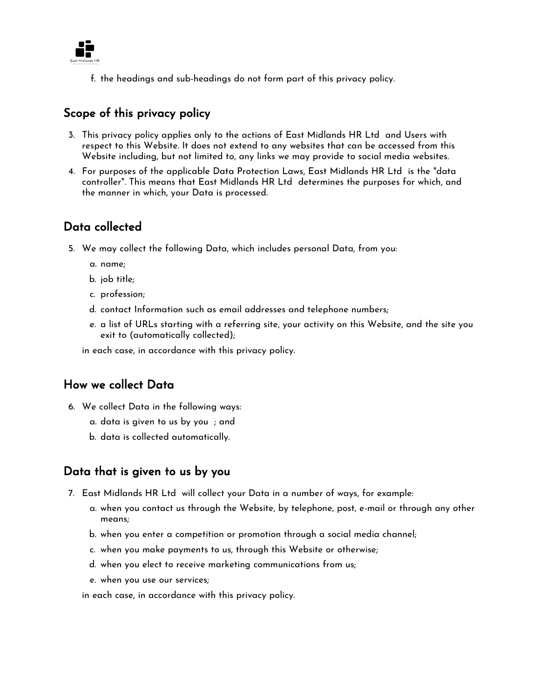

f. the headings and sub-headings do not form part of this privacy policy.

## Scope of this privacy policy

- 3. This privacy policy applies only to the actions of East Midlands HR Ltd and Users with respect to this Website. It does not extend to any websites that can be accessed from this Website including, but not limited to, any links we may provide to social media websites.
- 4. For purposes of the applicable Data Protection Laws, East Midlands HR Ltd is the "data controller". This means that East Midlands HR Ltd determines the purposes for which, and the manner in which, your Data is processed.

## Data collected

- 5. We may collect the following Data, which includes personal Data, from you:
	- a. name;
	- b. job title;
	- c. profession;
	- d. contact Information such as email addresses and telephone numbers;
	- e. a list of URLs starting with a referring site, your activity on this Website, and the site you exit to (automatically collected);

in each case, in accordance with this privacy policy.

#### How we collect Data

- 6. We collect Data in the following ways:
	- a. data is given to us by you ; and
	- b. data is collected automatically.

#### Data that is given to us by you

- 7. East Midlands HR Ltd will collect your Data in a number of ways, for example:
	- a. when you contact us through the Website, by telephone, post, e-mail or through any other means;
	- b. when you enter a competition or promotion through a social media channel;
	- c. when you make payments to us, through this Website or otherwise;
	- d. when you elect to receive marketing communications from us;
	- e. when you use our services;

in each case, in accordance with this privacy policy.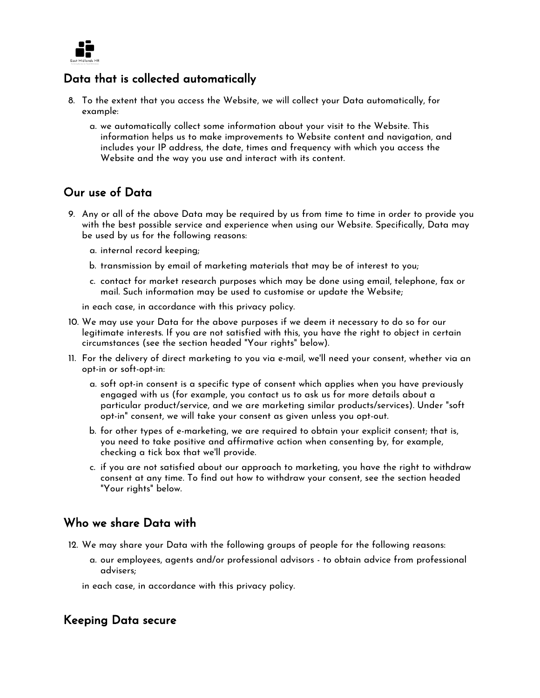

## Data that is collected automatically

- 8. To the extent that you access the Website, we will collect your Data automatically, for example:
	- a. we automatically collect some information about your visit to the Website. This information helps us to make improvements to Website content and navigation, and includes your IP address, the date, times and frequency with which you access the Website and the way you use and interact with its content.

#### Our use of Data

- 9. Any or all of the above Data may be required by us from time to time in order to provide you with the best possible service and experience when using our Website. Specifically, Data may be used by us for the following reasons:
	- a. internal record keeping;
	- b. transmission by email of marketing materials that may be of interest to you;
	- c. contact for market research purposes which may be done using email, telephone, fax or mail. Such information may be used to customise or update the Website;

in each case, in accordance with this privacy policy.

- 10. We may use your Data for the above purposes if we deem it necessary to do so for our legitimate interests. If you are not satisfied with this, you have the right to object in certain circumstances (see the section headed "Your rights" below).
- 11. For the delivery of direct marketing to you via e-mail, we'll need your consent, whether via an opt-in or soft-opt-in:
	- a. soft opt-in consent is a specific type of consent which applies when you have previously engaged with us (for example, you contact us to ask us for more details about a particular product/service, and we are marketing similar products/services). Under "soft opt-in" consent, we will take your consent as given unless you opt-out.
	- b. for other types of e-marketing, we are required to obtain your explicit consent; that is, you need to take positive and affirmative action when consenting by, for example, checking a tick box that we'll provide.
	- c. if you are not satisfied about our approach to marketing, you have the right to withdraw consent at any time. To find out how to withdraw your consent, see the section headed "Your rights" below.

#### Who we share Data with

- 12. We may share your Data with the following groups of people for the following reasons:
	- a. our employees, agents and/or professional advisors to obtain advice from professional advisers;
	- in each case, in accordance with this privacy policy.

#### Keeping Data secure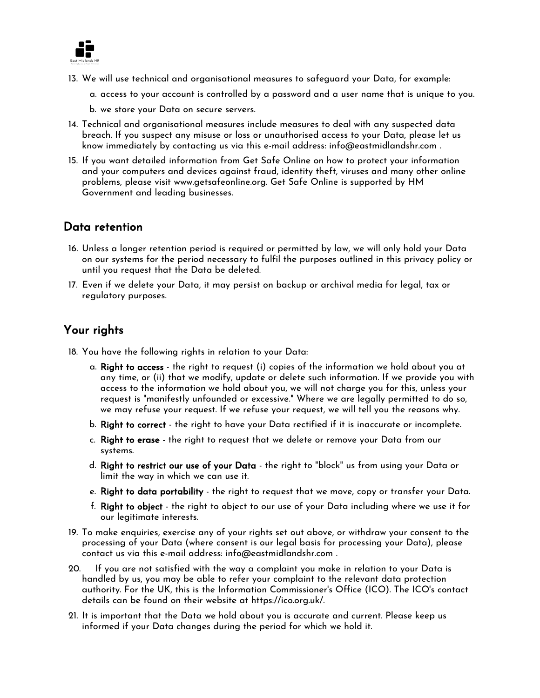

- 13. We will use technical and organisational measures to safeguard your Data, for example:
	- a. access to your account is controlled by a password and a user name that is unique to you.
	- b. we store your Data on secure servers.
- 14. Technical and organisational measures include measures to deal with any suspected data breach. If you suspect any misuse or loss or unauthorised access to your Data, please let us know immediately by contacting us via this e-mail address: info@eastmidlandshr.com .
- 15. If you want detailed information from Get Safe Online on how to protect your information and your computers and devices against fraud, identity theft, viruses and many other online problems, please visit www.getsafeonline.org. Get Safe Online is supported by HM Government and leading businesses.

#### Data retention

- 16. Unless a longer retention period is required or permitted by law, we will only hold your Data on our systems for the period necessary to fulfil the purposes outlined in this privacy policy or until you request that the Data be deleted.
- 17. Even if we delete your Data, it may persist on backup or archival media for legal, tax or regulatory purposes.

# Your rights

- 18. You have the following rights in relation to your Data:
	- a. Right to access the right to request (i) copies of the information we hold about you at any time, or (ii) that we modify, update or delete such information. If we provide you with access to the information we hold about you, we will not charge you for this, unless your request is "manifestly unfounded or excessive." Where we are legally permitted to do so, we may refuse your request. If we refuse your request, we will tell you the reasons why.
	- b. Right to correct the right to have your Data rectified if it is inaccurate or incomplete.
	- c. Right to erase the right to request that we delete or remove your Data from our systems.
	- d. Right to restrict our use of your Data the right to "block" us from using your Data or limit the way in which we can use it.
	- e. Right to data portability the right to request that we move, copy or transfer your Data.
	- f. Right to object the right to object to our use of your Data including where we use it for our legitimate interests.
- 19. To make enquiries, exercise any of your rights set out above, or withdraw your consent to the processing of your Data (where consent is our legal basis for processing your Data), please contact us via this e-mail address: info@eastmidlandshr.com .
- 20. If you are not satisfied with the way a complaint you make in relation to your Data is handled by us, you may be able to refer your complaint to the relevant data protection authority. For the UK, this is the Information Commissioner's Office (ICO). The ICO's contact details can be found on their website at https://ico.org.uk/.
- 21. It is important that the Data we hold about you is accurate and current. Please keep us informed if your Data changes during the period for which we hold it.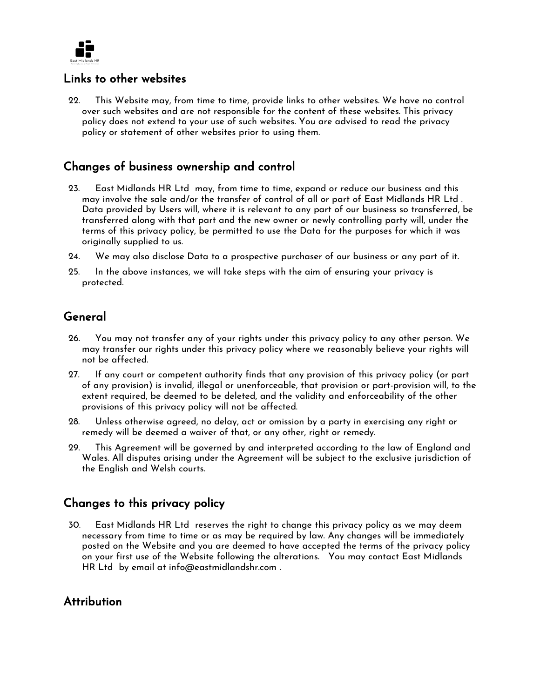

#### Links to other websites

22. This Website may, from time to time, provide links to other websites. We have no control over such websites and are not responsible for the content of these websites. This privacy policy does not extend to your use of such websites. You are advised to read the privacy policy or statement of other websites prior to using them.

# Changes of business ownership and control

- 23. East Midlands HR Ltd may, from time to time, expand or reduce our business and this may involve the sale and/or the transfer of control of all or part of East Midlands HR Ltd . Data provided by Users will, where it is relevant to any part of our business so transferred, be transferred along with that part and the new owner or newly controlling party will, under the terms of this privacy policy, be permitted to use the Data for the purposes for which it was originally supplied to us.
- 24. We may also disclose Data to a prospective purchaser of our business or any part of it.
- 25. In the above instances, we will take steps with the aim of ensuring your privacy is protected.

## General

- 26. You may not transfer any of your rights under this privacy policy to any other person. We may transfer our rights under this privacy policy where we reasonably believe your rights will not be affected.
- 27. If any court or competent authority finds that any provision of this privacy policy (or part of any provision) is invalid, illegal or unenforceable, that provision or part-provision will, to the extent required, be deemed to be deleted, and the validity and enforceability of the other provisions of this privacy policy will not be affected.
- 28. Unless otherwise agreed, no delay, act or omission by a party in exercising any right or remedy will be deemed a waiver of that, or any other, right or remedy.
- 29. This Agreement will be governed by and interpreted according to the law of England and Wales. All disputes arising under the Agreement will be subject to the exclusive jurisdiction of the English and Welsh courts.

#### Changes to this privacy policy

30. East Midlands HR Ltd reserves the right to change this privacy policy as we may deem necessary from time to time or as may be required by law. Any changes will be immediately posted on the Website and you are deemed to have accepted the terms of the privacy policy on your first use of the Website following the alterations. You may contact East Midlands HR Ltd by email at info@eastmidlandshr.com .

#### **Attribution**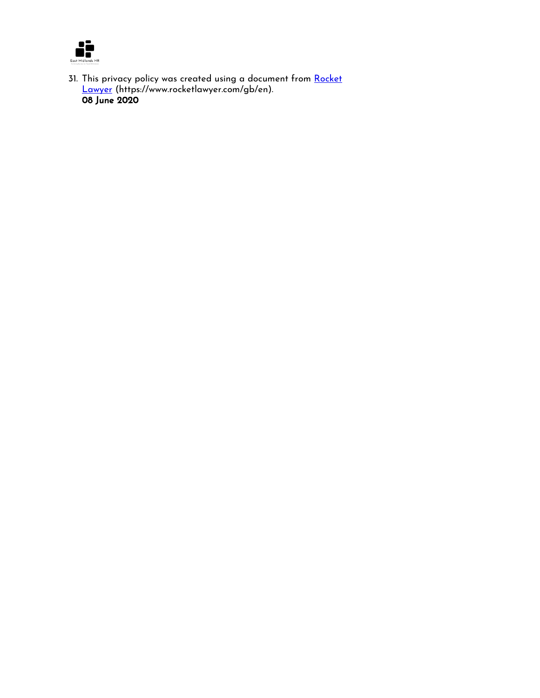

31. This privacy policy was created using a document from <u>Rocket</u> <u>[Lawyer](https://www.rocketlawyer.com/gb/en/)</u> (https://www.rocketlawyer.com/gb/en). 08 June 2020